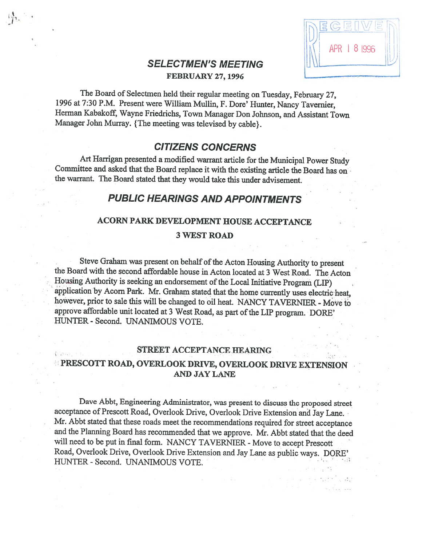| Ċ,             |  |
|----------------|--|
| 18 996<br>APR. |  |
|                |  |

V V•

# SELECTMEN'S MEETING FEBRUARY 27, 1996

The Board of Selectmen held their regular meeting on Tuesday, February 27, <sup>1996</sup> at 7:30 P.M. Present were William Mullin, F. Dore' Hunter, Nancy Tavernier, Herman Kabakoff, Wayne friedrichs, Town Manager Don Johnson, and Assistant Town Manager John Murray. {The meeting was televised by cable}.

# CITIZENS CONCERNS

Art Harrigan presented <sup>a</sup> modified warrant article for the Municipal Power Study Committee and asked that the Board replace it with the existing article the Board has on the warrant. The Board stated that they would take this under advisement.

# PUBLIC HEARINGS AND APPOINTMENTS

# ACORN PARK DEVELOPMENT ROUSE ACCEPTANCE

### 3 WEST ROAD

Steve Graham was present on behalf of the Acton Housing Authority to present the Board with the second affordable house in Acton located at 3 West Road. The Acton Housing Authority is seeking an endorsement of the Local Initiative Program (LIP) application by Acorn Park. Mr. Graham stated that the home currently uses electric heat, however, prior to sale this will be changed to oil heat. NANCY TAVERNIER - Move to approve affordable unit located at 3 West Road, as part of the LIP program. DORE' HUNTER - Second. UNANIMOUS VOTE.

### STREET ACCEPTANCE HEARING

# **E** PRESCOTT ROAD, OVERLOOK DRIVE, OVERLOOK DRIVE EXTENSION AND JAY LANE

Dave Abbt, Engineering Administrator, was present to discuss the proposed street acceptance of Prescott Road, Overlook Drive, Overlook Drive Extension and Jay Lane. Mr. Abbt stated that these roads meet the recommendations required for street acceptance and the Planning Board has recommended that we approve. Mr. Abbt stated that the deed will need to be put in final form. NANCY TAVERNIER - Move to accept Prescott Road, Overlook Drive, Overlook Drive Extension and Jay Lane as public ways. DORE' HUNTER - Second. UNANIMOUS VOTE.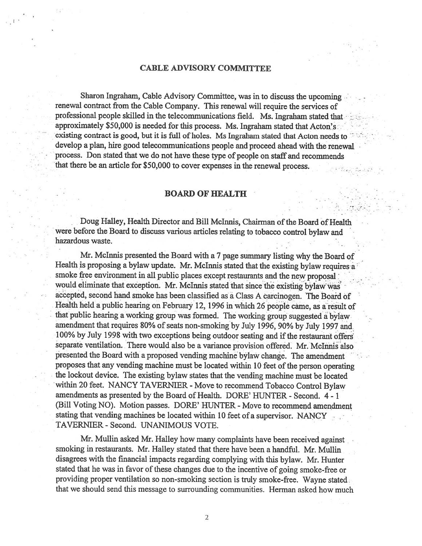### CABLE ADVISORY COMMITTEE

Sharon Ingraham, Cable Advisory Committee, was in to discuss the upcoming. renewal contract from the Cable Company. This renewal will require the services of professional people skilled in the telecommunications field. Ms. Ingraham stated that approximately \$50,000 is needed for this process. Ms. Ingraham stated that Acton's existing contract is good, but it is full of holes. Ms Ingraham stated that Acton needs to develop a plan, hire good telecommunications people and proceed ahead with the renewal process. Don stated that we do not have these type of people on staff and recommends that there be an article for \$50,000 to cover expenses in the renewal process.

# **BOARD OF HEALTH**

Doug Halley, Health Director and Bill McInnis, Chairman of the Board of Health were before the Board to discuss various articles relating to tobacco control bylaw and hazardous waste.

Mr. Mclnnis presented the Board with <sup>a</sup> <sup>7</sup> page summary listing why the Board of Health is proposing a bylaw update. Mr. McInnis stated that the existing bylaw requires  $a^2$ smoke free environment in all public places except restaurants and the new proposal would eliminate that exception. Mr. McInnis stated that since the existing bylaw was accepted, second hand smoke has been classified as a Class A carcinogen. The Board of Health held <sup>a</sup> public hearing on February 12, <sup>1996</sup> in which <sup>26</sup> people came, as <sup>a</sup> result of that public hearing <sup>a</sup> working group was formed. The working group suggested <sup>a</sup> bylaw amendment that requires 80% of seats non-smoking by July 1996, 90% by July 1997 and 100% by July 1998 with two exceptions being outdoor seating and if the restaurant offers separate ventilation. There would also be a variance provision offered. Mr. McInnis also presented the Board with a proposed vending machine bylaw change. The amendment proposes that any vending machine must be located within 10 feet of the person operating the lockout device. The existing bylaw states that the vending machine must be located within 20 feet. NANCY TAVERNIER - Move to recommend Tobacco Control Bylaw amendments as presented by the Board of Health. DORE' HUNTER - Second. 4 - 1 (Bill Voting NO). Motion passes. DORE' HUNTER - Move to recommend amendment stating that vending machines be located within 10 feet of a supervisor. NANCY TAVERNIER - Second. UNANIMOUS VOTE.

Mr. Mullin asked Mr. Halley how many complaints have been received against smoking in restaurants. Mr. Halley stated that there have been <sup>a</sup> handful. Mr. Mullin disagrees with the financial impacts regarding complying with this bylaw. Mr. Hunter stated that he was in favor of these changes due to the incentive of going smoke-free or providing proper ventilation so non-smoking section is truly smoke-free. Wayne stated that we should send this message to surrounding communities. Herman asked how much

2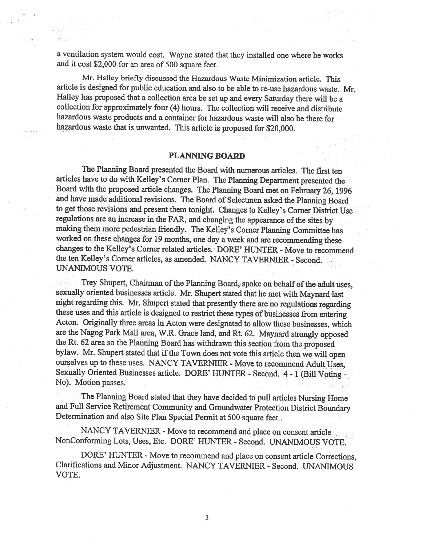<sup>a</sup> ventilation system would cost. Wayne stated that they installed one where he works and it cost \$2,000 for an area of <sup>500</sup> square feet.

Mr. Halley briefly discussed the Hazardous Waste Minimization article. This article is designed for public education and also to be able to re-use hazardous waste. Mr. Halley has proposed that <sup>a</sup> collection area be set up and every Saturday there will be <sup>a</sup> collection for approximately four (4) hours. The collection will receive and distribute hazardous waste products and a container for hazardous waste will also be there for hazardous waste that is unwanted. This article is proposed for \$20,000.

### PLANNING BOARD

The Planning Board presented the Board with numerous articles. The first ten articles have to do with Kelley's Corner Plan. The Planning Department presented the Board with the proposed article changes. The Planning Board met on february 26, <sup>1996</sup> and have made additional revisions. The Board of Selectmen asked the Planning Board to get those revisions and present them tonight. Changes to Kelley's Corner District Use regulations are an increase in the FAR, and changing the appearance of the sites by making them more pedestrian friendly. The Kelley's Corner Planning Committee has worked on these changes for <sup>19</sup> months, one day <sup>a</sup> week and are recommending these changes to the Kelley's Corner related articles. DORE' HUNTER - Move to recommend the ten Kelley's Corner articles, as amended. NANCY TAVERNIER - Second. UNANIMOUS VOTE.

Trey Shupert, Chairman of the Planning Board, spoke on behalf of the adult uses, sexually oriented businesses article. Mr. Shupert stated that he met with Maynard last night regarding this. Mr. Shupert stated that presently there are no regulations regarding these uses and this article is designed to restrict these types of businesses from entering Acton. Originally three areas in Acton were designated to allow these businesses, which are the Nagog Park Mall area, W.R. Grace land, and Rt. 62. Maynard strongly opposed the Rt. <sup>62</sup> area so the Planning Board has withdrawn this section from the proposed bylaw. Mr. Shupert stated that if the Town does not vote this article then we will open ourselves up to these uses. NANCY TAVERNIER - Move to recommend Adult Uses, Sexually Oriented Businesses article. DORE' HUNTER - Second. <sup>4</sup> - <sup>1</sup> (Bill Voting No). Motion passes.

The Planning Board stated that they have decided to pull articles Nursing Home and Full Service Retirement Community and Groundwater Protection District Boundary Determination and also Site Plan Special Permit at <sup>500</sup> square feet..

NANCY TAVERNIER - Move to recommend and place on consent article NonConforming Lots, Uses, Etc. DORE' HUNTER - Second. UNANIMOUS VOTE.

DORE' HUNTER - Move to recommend and <sup>p</sup>lace on consent article Corrections, Clarifications and Minor Adjustment. NANCY TAVERNIER - Second. UNANIMOUS VOTE.

3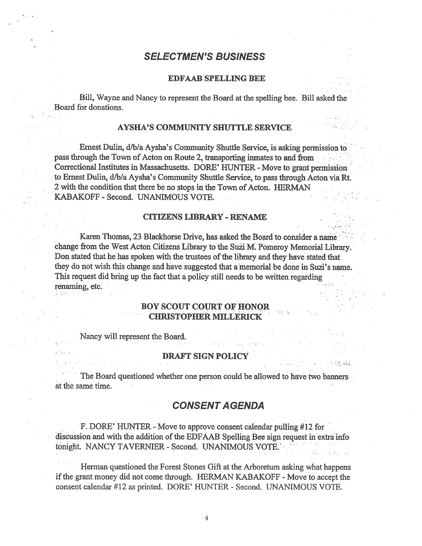# SELECTMEN'S BUSINESS

#### EDFAAB SPELLING BEE

Bill, Wayne and Nancy to represen<sup>t</sup> the Board at the spelling bee. Bill asked the Board for donations. .

#### AYSHA'S COMMUNITY SHUTTLE SERVICE

Ernest Dulin, d/b/a Aysha's Community Shuttle Service, is asking permission to . pass through the Town of Acton on Route 2, transporting inmates to and from. Correctional Institutes in Massachusetts. DORE' HUNTER - Move to grant permission to Ernest Dulin, d/b/a Aysha's Community Shuttle Service, to pass through Acton via Rt. 2 with the condition that there be no stops in the Town of Acton. HERMAN KABAKOFF - Second. UNANIMOUS VOTE.

#### CITIZENS LIBRARY - RENAME

Karen Thomas, 23 Blackhorse Drive, has asked the Board to consider a name change from the West Acton Citizens Library to the Suzi M. Pomeroy Memorial Library. Don stated that he has spoken with the trustees of the library and they have stated that they do not wish this change and have suggested that <sup>a</sup> memorial be done in Suzi's name. This request did bring up the fact that a policy still needs to be written regarding renaming, etc

### BOY SCOUT COURT OF HONOR CHRISTOPHER MILLERICK

Nancy will represent the Board.

### DRAFT SIGN POLICY

The Board questioned whether one person could be allowed to have two banners at the same time.

# **CONSENT AGENDA**

F. DORE' HUNTER - Move to approve consent calendar pulling #12 for discussion and with the addition of the EDFAAB Spelling Bee sign request in extra info tonight. NANCY TAVERNIER - Second. UNANIMOUS VOTE.'

Herman questioned the Forest Stones Gift at the Arboretum asking what happens if the grant money did not come through. HERMAN KABAKOFF - Move to accept the consent calendar #12 as printed. DORE' HUNTER - Second. UNANIMOUS VOTE.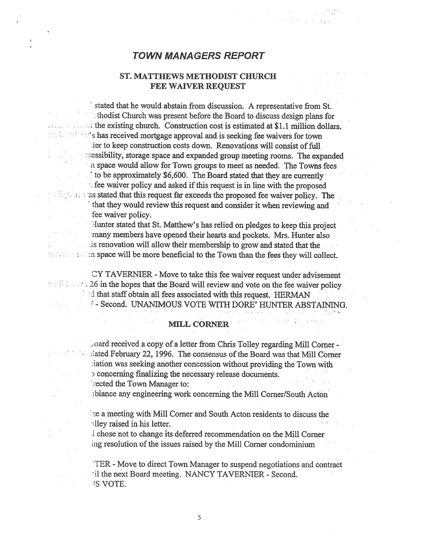# TOWN MANAGERS REPORT

# ST. MATTHEWS METHODIST CHURCH FEE WAIVER REQUEST

stated that he would abstain from discussion. A representative from St. thodist Church was presen<sup>t</sup> before the Board to discuss design <sup>p</sup>lans for : the existing church. Construction cost is estimated at \$1.1 million dollars.  $\mathbb{P}$ s has received mortgage approval and is seeking fee waivers for town ier to keep construction costs down. Renovations will consist of full  $\,$  essibility, storage space and expanded group meeting rooms. The expanded <sup>n</sup> space would allow for Town groups to meet as needed. The Towns fees  $\dot{\phantom{\phi}}$  to be approximately \$6,600. The Board stated that they are currently fiee waiver policy and asked if this request is in line with the proposed  $\sim$  as stated that this request far exceeds the proposed fee waiver policy. The that they would review this reques<sup>t</sup> and consider it when reviewing and fee waiver policy.

Hunter stated that St. Matthew's has relied on pledges to keep this project many members have opened their hearts and pockets. Mrs. Hunter also lis renovation will allow their membership to grow and stated that the m space will be more beneficial to the Town than the fees they will collect.

CY TAVERNIER - Move to take this fee waiver reques<sup>t</sup> under advisement **26 in the hopes that the Board will review and vote on the fee waiver policy** 'I that staff obtain all fees associated with this request. HERMAN F - Second. UNANIMOUS VOTE WITH DORE' HUNTER ABSTAINING.

#### **MILL CORNER**

 $\sim$  oard received a copy of a letter from Chris Tolley regarding Mill Corner dated February 22, 1996. The consensus of the Board was that Mill Corner iation was seeking another concession without providing the Town with  $\sigma$  concerning finalizing the necessary release documents. rected the Town Manager to:

thiance any engineering work concerning the Mill Corner/South Acton

ze a meeting with Mill Corner and South Acton residents to discuss the  $\lnot$ lley raised in his letter.

I chose not to change its deferred recommendation on the Mill Corner ing resolution of the issues raised by the Mill Corner condominium

TER -Move to direct Town Manager to suspend negotiations and contract iil the next Board meeting. NANCY TAVERNIER - Second. IS VOTE.

5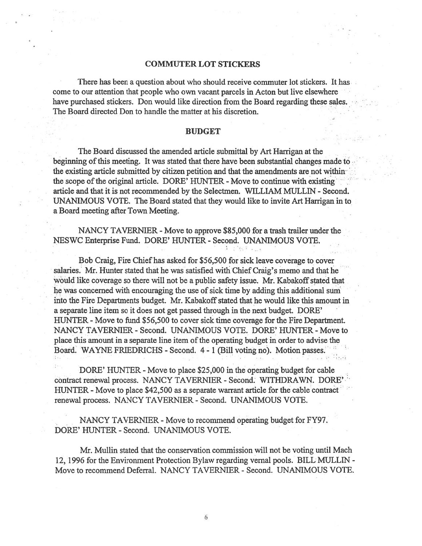#### COMMUTER LOT STICKERS

There has been <sup>a</sup> question about who should receive commuter lot stickers. It has come to our attention that people who own vacant parcels in Acton but live elsewhere have purchased stickers. Don would like direction from the Board regarding these sales. The Board directed Don to handle the matter at his discretion.

#### BUDGET

The Board discussed the amended article submittal by Art Harrigan at the beginning of this meeting. It was stated that there have been substantial changes made to the existing article submitted by citizen petition and that the amendments are not within the scope of the original article. DORE' HUNTER - Move to continue with existing article and that it is not recommended by the Selectmen. WILLIAM MULLIN - Second. UNANIMOUS VOTE. The Board stated that they would like to invite Art Harrigan in to <sup>a</sup> Board meeting after Town Meeting.

NANCY TAVERNIER - Move to approve \$85,000 for a trash trailer under the NESWC Enterprise Fund. DORE' HUNTER - Second. UNANIMOUS VOTE.

Bob Craig, Fire Chief has asked for \$56,500 for sick leave coverage to cover salaries. Mr. Hunter stated that he was satisfied with Chief Craig's memo and that he would like coverage so there will not be a public safety issue. Mr. Kabakoff stated that he was concerned with encouraging the use of sick time by adding this additional sum into the Fire Departments budget. Mr. Kabakoff stated that he would like this amount in <sup>a</sup> separate line item so it does not ge<sup>t</sup> passed through in the next budget. DORE' HUNTER - Move to fund \$56,500 to cover sick time coverage for the Fire Department. NANCY TAVERNIER - Second. UNANIMOUS VOTE. DORE' HUNTER - Move to place this amount in a separate line item of the operating budget in order to advise the Board. WAYNE FRIEDRICHS - Second. 4 - 1 (Bill voting no). Motion passes.

DORE' HUNTER - Move to place \$25,000 in the operating budget for cable contract renewal process. NANCY TAVERNIER - Second.' WITHDRAWN. DORE" HUNTER - Move to place \$42,500 as a separate warrant article for the cable contract renewal process. NANCY TAVERNIER - Second. UNANIMOUS VOTE.

NANCY TAVERNIER - Move to recommend operating budget for FY97. DORE' HUNTER - Second. UNANIMOUS VOTE.

Mr. Mullin stated that the conservation commission will not be voting until Mach 12, 1996 for the Environment Protection Bylaw regarding vernal pools. BILL MULLEN - Move to recommend Deferral. NANCY TAVERNIER - Second. UNANIMOUS VOTE.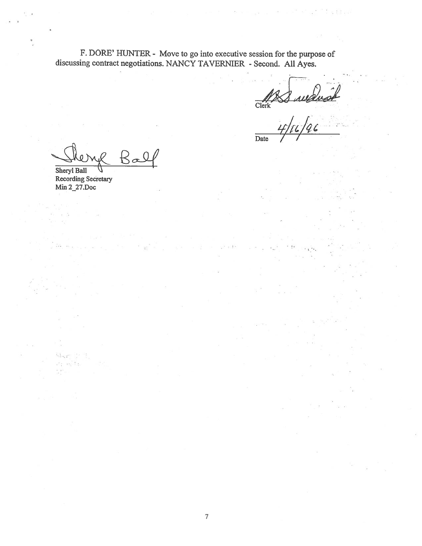F. DORE' HUNTER - Move to go into executive session for the purpose of discussing contract negotiations. NANCY TAVERNIER - Second. All Ayes.

Clerk

in an an an an an an

a biblio

Date

 $\Gamma$ a Sheryl Ball

 $\mathbb{R}^n_+$ 

Recording Secretary Mm 2\_27.Doc

 $\sim$   $\sim$  $\mathcal{L}^{(1)}$ 

Slappe de St a<sup>a</sup>ki sad  $\frac{1}{2}$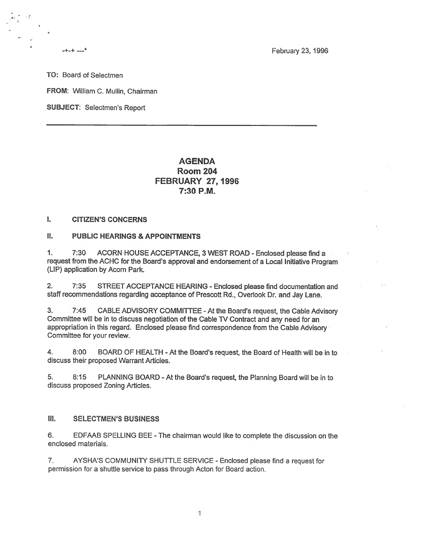February 23, 1996

TO: Board of Selectmen

\*

FROM: William C. Mullin, Chairman

SUBJECT: Selectmen's Report

# **AGENDA** Room 204 FEBRUARY 27, 1996 7:30 P.M.

### I. CITIZEN'S CONCERNS

### II. PUBLIC HEARINGS & APPOINTMENTS

1. 7:30 ACORN HOUSE ACCEPTANCE, 3 WEST ROAD - Enclosed <sup>p</sup>lease find <sup>a</sup> reques<sup>t</sup> from the ACHC for the Board's approva<sup>l</sup> and endorsement of <sup>a</sup> Local Initiative Program (LIP) application by Acorn Park.

2. 7:35 STREET ACCEPTANCE HEARING -Enclosed <sup>p</sup>lease find documentation and staff recommendations regarding acceptance of Prescott Rd., Overlook Dr. and Jay Lane.

3. 7:45 CABLE ADVISORY COMMITTEE -At the Board's request, the Cable Advisory Committee will be in to discuss negotiation of the Cable TV Contract and any need for an appropriation in this regard. Enclosed <sup>p</sup>lease find correspondence from the Cable Advisory Committee for your review.

4. 8:00 BOARD OF HEALTH -At the Board's request, the Board of Health will be in to discuss their proposed Warrant Articles.

5. 8:15 PLANNING BOARD -At the Board's request, the Planning Board will be in to discuss proposed Zoning Articles.

### III. SELECTMEN'S BUSINESS

6. EDFAAB SPELLING BEE -The chairman would like to complete the discussion on the enclosed materials.

7. AYSHA'S COMMUNITY SHUTTLE SERVICE -Enclosed please find <sup>a</sup> reques<sup>t</sup> for permission for <sup>a</sup> shuttle service to pass through Acton for Board action.

 $\mathbf{1}$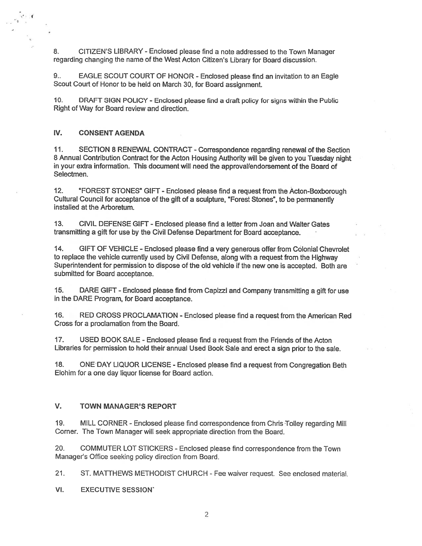8. CITIZEN'S LIBRARY -Enclosed please find <sup>a</sup> note addressed to the Town Manager regarding changing the name of the West Acton Citizen's Library for Board discussion.

9.. EAGLE SCOUT COURT OF HONOR - Enclosed <sup>p</sup>lease find an invitation to an Eagle Scout Court of Honor to be held on March 30, for Board assignment.

10. DRAFT SIGN POLICY -Enclosed <sup>p</sup>lease find <sup>a</sup> draft policy for signs within the Public Right of Way for Board review and direction.

#### IV. CONSENT AGENDA

11. SECTION 8 RENEWAL CONTRACT -Correspondence regarding renewal of the Section <sup>8</sup> Annual Contribution Contract for the Acton Housing Authority will be <sup>g</sup>iven to you Tuesday night in your extra information. This document will need the approval/endorsement of the Board of Selectmen.

12. "FOREST STONES" GIFT -Enclosed please find <sup>a</sup> reques<sup>t</sup> from the Acton-Boxborough Cultural Council for acceptance of the <sup>g</sup>ift of <sup>a</sup> sculpture, "Forest Stones", to be permanently installed at the Arboretum.

13. CIVIL DEFENSE GIFT -Enclosed please find <sup>a</sup> letter from Joan and Walter Gates transmitting <sup>a</sup> gift for use by the Civil Defense Department for Board acceptance.

14. GIFT OF VEHICLE -Enclosed please find <sup>a</sup> very generous offer from Colonial Chevrolet to replace the vehicle currently used by Civil Defense, along with <sup>a</sup> reques<sup>t</sup> from the Highway Superintendent for permission to dispose of the old vehicle if the new one is accepted. Both are submitted for Board acceptance.

15. DARE GIFT -Enclosed <sup>p</sup>lease find from Capizzi and Company transmitting <sup>a</sup> <sup>g</sup>ift for use in the DARE Program, for Board acceptance.

16. RED CROSS PROCLAMATION -Enclosed <sup>p</sup>lease find <sup>a</sup> reques<sup>t</sup> from the American Red Cross for <sup>a</sup> proclamation from the Board.

17. USED BOOK SALE -Enclosed please find <sup>a</sup> reques<sup>t</sup> from the Friends of the Acton Libraries for permission to hold their annual Used Book Sale and erect <sup>a</sup> sign prior to the sale.

18. ONE DAY LIQUOR LICENSE - Enclosed <sup>p</sup>lease find <sup>a</sup> reques<sup>t</sup> from Congregation Beth Elohim for <sup>a</sup> one day liquor license for Board action.

### V. TOWN MANAGER'S REPORT

19. MILL CORNER -Enclosed <sup>p</sup>lease find correspondence from Chris Tolley regarding Mill Cornet. The Town Manager will seek appropriate direction from the Board.

20. COMMUTER LOT STICKERS -Enclosed please find correspondence from the Town Manager's Office seeking policy direction from Board.

21. ST. MATTHEWS METHODIST CHURCH -Fee waiver request. See enclosed material.

VI. EXECUTIVE SESSION'